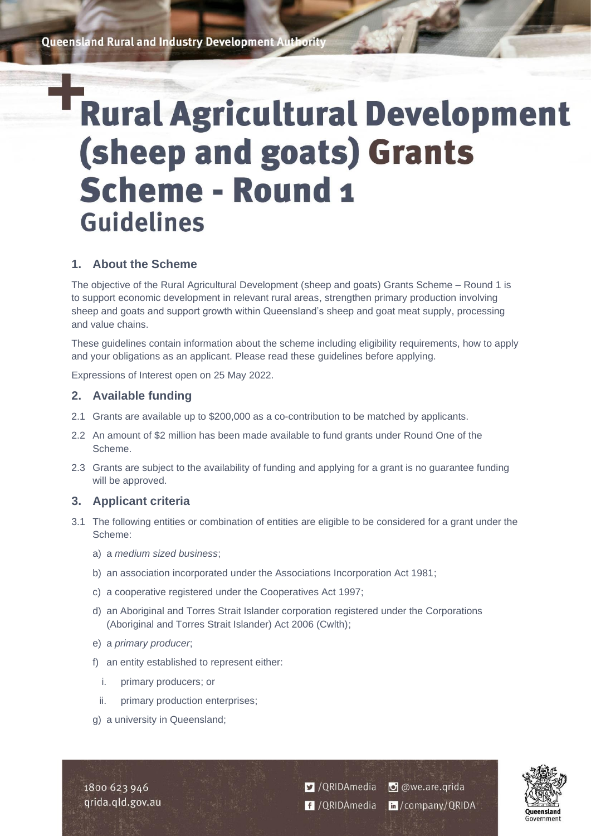**Queensland Rural and Industry Development Authority** 

# **Rural Agricultural Development** (sheep and goats) Grants **Scheme - Round 1 Guidelines**

# **1. About the Scheme**

The objective of the Rural Agricultural Development (sheep and goats) Grants Scheme – Round 1 is to support economic development in relevant rural areas, strengthen primary production involving sheep and goats and support growth within Queensland's sheep and goat meat supply, processing and value chains.

These guidelines contain information about the scheme including eligibility requirements, how to apply and your obligations as an applicant. Please read these guidelines before applying.

Expressions of Interest open on 25 May 2022.

# **2. Available funding**

- 2.1 Grants are available up to \$200,000 as a co-contribution to be matched by applicants.
- 2.2 An amount of \$2 million has been made available to fund grants under Round One of the Scheme.
- 2.3 Grants are subject to the availability of funding and applying for a grant is no guarantee funding will be approved.

# **3. Applicant criteria**

- 3.1 The following entities or combination of entities are eligible to be considered for a grant under the Scheme:
	- a) a *medium sized business*;
	- b) an association incorporated under the Associations Incorporation Act 1981;
	- c) a cooperative registered under the Cooperatives Act 1997;
	- d) an Aboriginal and Torres Strait Islander corporation registered under the Corporations (Aboriginal and Torres Strait Islander) Act 2006 (Cwlth);
	- e) a *primary producer*;
	- f) an entity established to represent either:
		- i. primary producers; or
		- ii. primary production enterprises;
	- g) a university in Queensland;

1800 623 946 grida.gld.gov.au V / QRIDAmedia **O** @we.are.qrida f /QRIDAmedia in/company/QRIDA

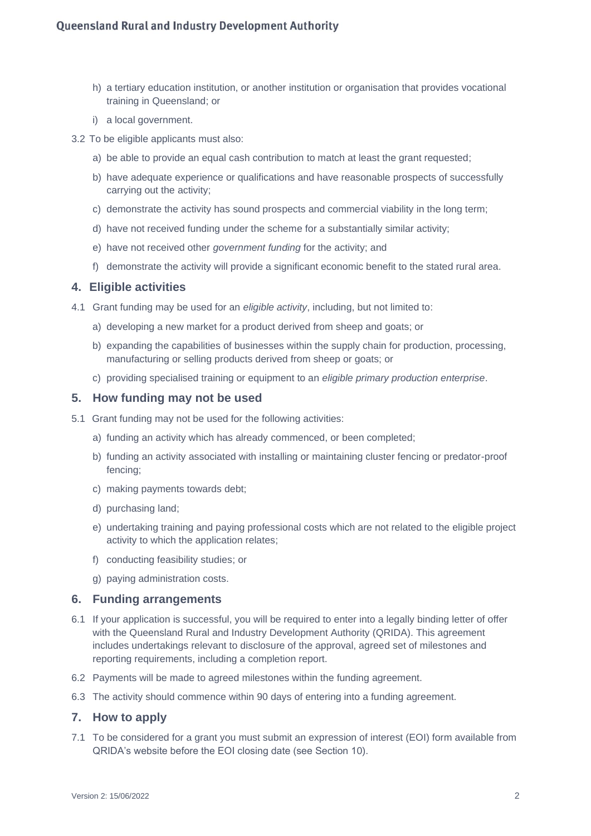- h) a tertiary education institution, or another institution or organisation that provides vocational training in Queensland; or
- i) a local government.
- 3.2 To be eligible applicants must also:
	- a) be able to provide an equal cash contribution to match at least the grant requested;
	- b) have adequate experience or qualifications and have reasonable prospects of successfully carrying out the activity;
	- c) demonstrate the activity has sound prospects and commercial viability in the long term;
	- d) have not received funding under the scheme for a substantially similar activity;
	- e) have not received other *government funding* for the activity; and
	- f) demonstrate the activity will provide a significant economic benefit to the stated rural area.

#### **4. Eligible activities**

- 4.1 Grant funding may be used for an *eligible activity*, including, but not limited to:
	- a) developing a new market for a product derived from sheep and goats; or
	- b) expanding the capabilities of businesses within the supply chain for production, processing, manufacturing or selling products derived from sheep or goats; or
	- c) providing specialised training or equipment to an *eligible primary production enterprise*.

#### **5. How funding may not be used**

- 5.1 Grant funding may not be used for the following activities:
	- a) funding an activity which has already commenced, or been completed;
	- b) funding an activity associated with installing or maintaining cluster fencing or predator-proof fencing;
	- c) making payments towards debt;
	- d) purchasing land;
	- e) undertaking training and paying professional costs which are not related to the eligible project activity to which the application relates;
	- f) conducting feasibility studies; or
	- g) paying administration costs.

# **6. Funding arrangements**

- 6.1 If your application is successful, you will be required to enter into a legally binding letter of offer with the Queensland Rural and Industry Development Authority (QRIDA). This agreement includes undertakings relevant to disclosure of the approval, agreed set of milestones and reporting requirements, including a completion report.
- 6.2 Payments will be made to agreed milestones within the funding agreement.
- 6.3 The activity should commence within 90 days of entering into a funding agreement.

# **7. How to apply**

7.1 To be considered for a grant you must submit an expression of interest (EOI) form available from QRIDA's website before the EOI closing date (see Section 10).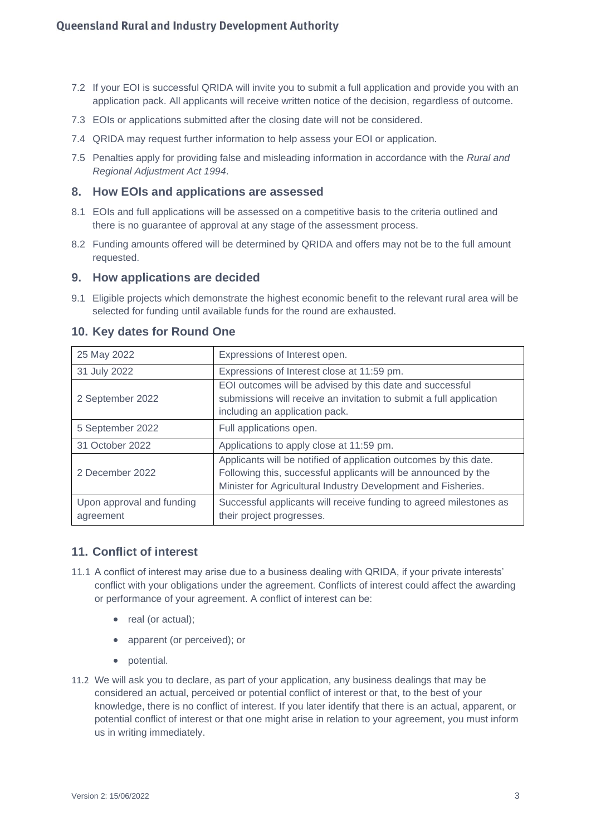- 7.2 If your EOI is successful QRIDA will invite you to submit a full application and provide you with an application pack. All applicants will receive written notice of the decision, regardless of outcome.
- 7.3 EOIs or applications submitted after the closing date will not be considered.
- 7.4 QRIDA may request further information to help assess your EOI or application.
- 7.5 Penalties apply for providing false and misleading information in accordance with the *Rural and Regional Adjustment Act 1994*.

#### **8. How EOIs and applications are assessed**

- 8.1 EOIs and full applications will be assessed on a competitive basis to the criteria outlined and there is no guarantee of approval at any stage of the assessment process.
- 8.2 Funding amounts offered will be determined by QRIDA and offers may not be to the full amount requested.

#### **9. How applications are decided**

9.1 Eligible projects which demonstrate the highest economic benefit to the relevant rural area will be selected for funding until available funds for the round are exhausted.

| 25 May 2022                            | Expressions of Interest open.                                                                                                                                                                        |
|----------------------------------------|------------------------------------------------------------------------------------------------------------------------------------------------------------------------------------------------------|
| 31 July 2022                           | Expressions of Interest close at 11:59 pm.                                                                                                                                                           |
| 2 September 2022                       | EOI outcomes will be advised by this date and successful<br>submissions will receive an invitation to submit a full application<br>including an application pack.                                    |
| 5 September 2022                       | Full applications open.                                                                                                                                                                              |
| 31 October 2022                        | Applications to apply close at 11:59 pm.                                                                                                                                                             |
| 2 December 2022                        | Applicants will be notified of application outcomes by this date.<br>Following this, successful applicants will be announced by the<br>Minister for Agricultural Industry Development and Fisheries. |
| Upon approval and funding<br>agreement | Successful applicants will receive funding to agreed milestones as<br>their project progresses.                                                                                                      |

#### **10. Key dates for Round One**

#### **11. Conflict of interest**

- 11.1 A conflict of interest may arise due to a business dealing with QRIDA, if your private interests' conflict with your obligations under the agreement. Conflicts of interest could affect the awarding or performance of your agreement. A conflict of interest can be:
	- real (or actual):
	- apparent (or perceived); or
	- potential.
- 11.2 We will ask you to declare, as part of your application, any business dealings that may be considered an actual, perceived or potential conflict of interest or that, to the best of your knowledge, there is no conflict of interest. If you later identify that there is an actual, apparent, or potential conflict of interest or that one might arise in relation to your agreement, you must inform us in writing immediately.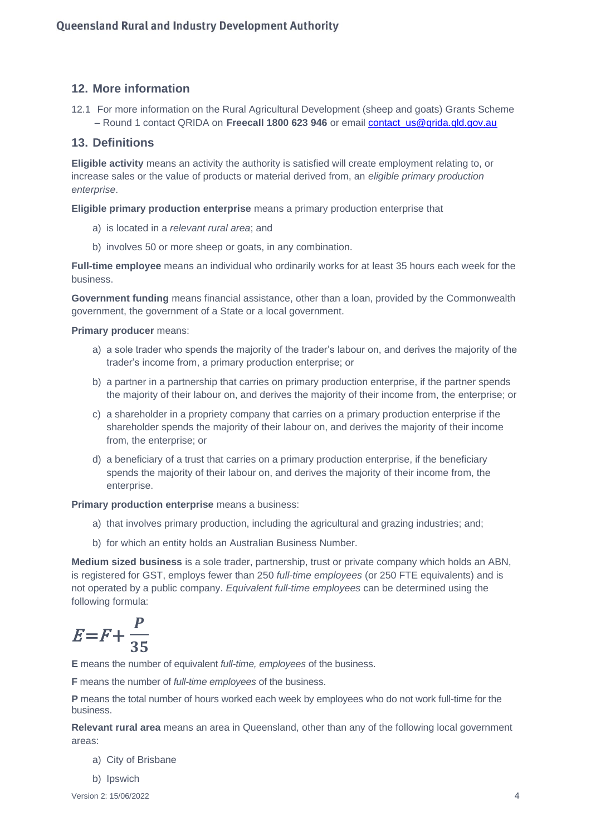# **12. More information**

12.1 For more information on the Rural Agricultural Development (sheep and goats) Grants Scheme – Round 1 contact QRIDA on **Freecall 1800 623 946** or email [contact\\_us@qrida.qld.gov.au](mailto:contact_us@qrida.qld.gov.au)

### **13. Definitions**

**Eligible activity** means an activity the authority is satisfied will create employment relating to, or increase sales or the value of products or material derived from, an *eligible primary production enterprise*.

**Eligible primary production enterprise** means a primary production enterprise that

- a) is located in a *relevant rural area*; and
- b) involves 50 or more sheep or goats, in any combination.

**Full-time employee** means an individual who ordinarily works for at least 35 hours each week for the business.

**Government funding** means financial assistance, other than a loan, provided by the Commonwealth government, the government of a State or a local government.

#### **Primary producer** means:

- a) a sole trader who spends the majority of the trader's labour on, and derives the majority of the trader's income from, a primary production enterprise; or
- b) a partner in a partnership that carries on primary production enterprise, if the partner spends the majority of their labour on, and derives the majority of their income from, the enterprise; or
- c) a shareholder in a propriety company that carries on a primary production enterprise if the shareholder spends the majority of their labour on, and derives the majority of their income from, the enterprise; or
- d) a beneficiary of a trust that carries on a primary production enterprise, if the beneficiary spends the majority of their labour on, and derives the majority of their income from, the enterprise.

**Primary production enterprise** means a business:

- a) that involves primary production, including the agricultural and grazing industries; and;
- b) for which an entity holds an Australian Business Number.

**Medium sized business** is a sole trader, partnership, trust or private company which holds an ABN, is registered for GST, employs fewer than 250 *full-time employees* (or 250 FTE equivalents) and is not operated by a public company. *Equivalent full-time employees* can be determined using the following formula:

$$
E = F + \frac{P}{35}
$$

**E** means the number of equivalent *full-time, employees* of the business.

**F** means the number of *full-time employees* of the business.

**P** means the total number of hours worked each week by employees who do not work full-time for the business.

**Relevant rural area** means an area in Queensland, other than any of the following local government areas:

a) City of Brisbane

b) Ipswich

Version 2: 15/06/2022 4